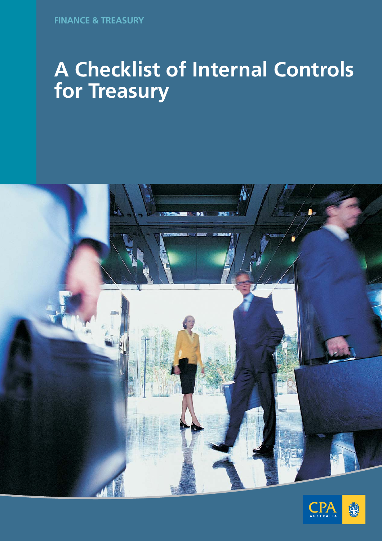



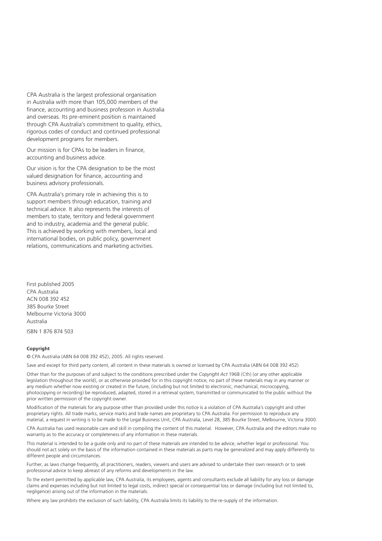CPA Australia is the largest professional organisation in Australia with more than 105,000 members of the finance, accounting and business profession in Australia and overseas. Its pre-eminent position is maintained through CPA Australia's commitment to quality, ethics, rigorous codes of conduct and continued professional development programs for members.

Our mission is for CPAs to be leaders in finance, accounting and business advice.

Our vision is for the CPA designation to be the most valued designation for finance, accounting and business advisory professionals.

CPA Australia's primary role in achieving this is to support members through education, training and technical advice. It also represents the interests of members to state, territory and federal government and to industry, academia and the general public. This is achieved by working with members, local and international bodies, on public policy, government relations, communications and marketing activities.

First published 2005 CPA Australia ACN 008 392 452 385 Bourke Street Melbourne Victoria 3000 Australia

ISBN 1 876 874 503

#### **Copyright**

© CPA Australia (ABN 64 008 392 452), 2005. All rights reserved.

Save and except for third party content, all content in these materials is owned or licensed by CPA Australia (ABN 64 008 392 452)

Other than for the purposes of and subject to the conditions prescribed under the *Copyright Act* 1968 (Cth) (or any other applicable legislation throughout the world), or as otherwise provided for in this copyright notice, no part of these materials may in any manner or any medium whether now existing or created in the future, (including but not limited to electronic, mechanical, microcopying, photocopying or recording) be reproduced, adapted, stored in a retrieval system, transmitted or communicated to the public without the prior written permission of the copyright owner.

Modification of the materials for any purpose other than provided under this notice is a violation of CPA Australia's copyright and other proprietary rights. All trade marks, service marks and trade names are proprietary to CPA Australia. For permission to reproduce any material, a request in writing is to be made to the Legal Business Unit, CPA Australia, Level 28, 385 Bourke Street, Melbourne, Victoria 3000.

CPA Australia has used reasonable care and skill in compiling the content of this material. However, CPA Australia and the editors make no warranty as to the accuracy or completeness of any information in these materials.

This material is intended to be a guide only and no part of these materials are intended to be advice, whether legal or professional. You should not act solely on the basis of the information contained in these materials as parts may be generalized and may apply differently to different people and circumstances.

Further, as laws change frequently, all practitioners, readers, viewers and users are advised to undertake their own research or to seek professional advice to keep abreast of any reforms and developments in the law.

To the extent permitted by applicable law, CPA Australia, its employees, agents and consultants exclude all liability for any loss or damage claims and expenses including but not limited to legal costs, indirect special or consequential loss or damage (including but not limited to, negligence) arising out of the information in the materials.

Where any law prohibits the exclusion of such liability, CPA Australia limits its liability to the re-supply of the information.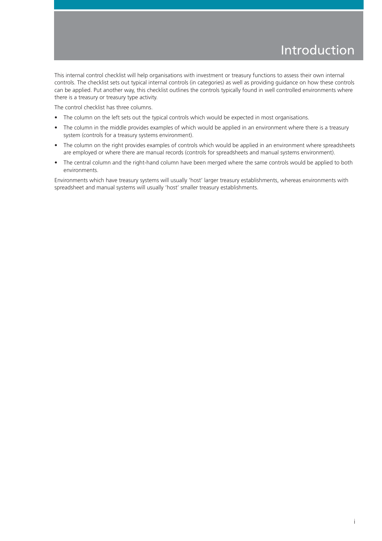This internal control checklist will help organisations with investment or treasury functions to assess their own internal controls. The checklist sets out typical internal controls (in categories) as well as providing guidance on how these controls can be applied. Put another way, this checklist outlines the controls typically found in well controlled environments where there is a treasury or treasury type activity.

The control checklist has three columns.

- The column on the left sets out the typical controls which would be expected in most organisations.
- The column in the middle provides examples of which would be applied in an environment where there is a treasury system (controls for a treasury systems environment).
- The column on the right provides examples of controls which would be applied in an environment where spreadsheets are employed or where there are manual records (controls for spreadsheets and manual systems environment).
- The central column and the right-hand column have been merged where the same controls would be applied to both environments.

Environments which have treasury systems will usually 'host' larger treasury establishments, whereas environments with spreadsheet and manual systems will usually 'host' smaller treasury establishments.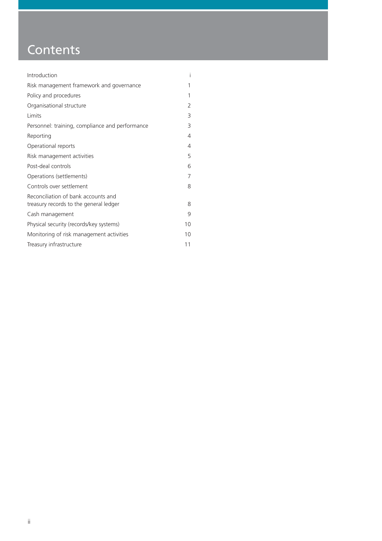## **Contents**

| Introduction                                                                  | Ť  |
|-------------------------------------------------------------------------------|----|
| Risk management framework and governance                                      | 1  |
| Policy and procedures                                                         | 1  |
| Organisational structure                                                      | 2  |
| Limits                                                                        | 3  |
| Personnel: training, compliance and performance                               | 3  |
| Reporting                                                                     | 4  |
| Operational reports                                                           | 4  |
| Risk management activities                                                    | 5  |
| Post-deal controls                                                            | 6  |
| Operations (settlements)                                                      | 7  |
| Controls over settlement                                                      | 8  |
| Reconciliation of bank accounts and<br>treasury records to the general ledger | 8  |
| Cash management                                                               | 9  |
| Physical security (records/key systems)                                       | 10 |
| Monitoring of risk management activities                                      | 10 |
| Treasury infrastructure                                                       | 11 |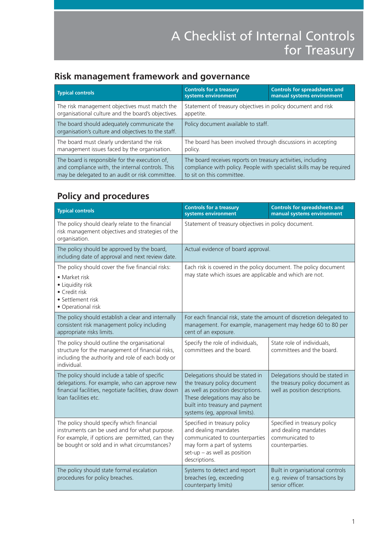### **Risk management framework and governance**

| <b>Typical controls</b>                                                                            | <b>Controls for a treasury</b><br>systems environment                 | <b>Controls for spreadsheets and</b><br>manual systems environment |
|----------------------------------------------------------------------------------------------------|-----------------------------------------------------------------------|--------------------------------------------------------------------|
| The risk management objectives must match the                                                      | Statement of treasury objectives in policy document and risk          |                                                                    |
| organisational culture and the board's objectives.                                                 | appetite.                                                             |                                                                    |
| The board should adequately communicate the<br>organisation's culture and objectives to the staff. | Policy document available to staff.                                   |                                                                    |
| The board must clearly understand the risk                                                         | The board has been involved through discussions in accepting          |                                                                    |
| management issues faced by the organisation.                                                       | policy.                                                               |                                                                    |
| The board is responsible for the execution of,                                                     | The board receives reports on treasury activities, including          |                                                                    |
| and compliance with, the internal controls. This                                                   | compliance with policy. People with specialist skills may be required |                                                                    |
| may be delegated to an audit or risk committee.                                                    | to sit on this committee.                                             |                                                                    |

### **Policy and procedures**

| <b>Typical controls</b>                                                                                                                                                                       | <b>Controls for a treasury</b><br>systems environment                                                                                                                                                      | <b>Controls for spreadsheets and</b><br>manual systems environment                                   |
|-----------------------------------------------------------------------------------------------------------------------------------------------------------------------------------------------|------------------------------------------------------------------------------------------------------------------------------------------------------------------------------------------------------------|------------------------------------------------------------------------------------------------------|
| The policy should clearly relate to the financial<br>risk management objectives and strategies of the<br>organisation.                                                                        | Statement of treasury objectives in policy document.                                                                                                                                                       |                                                                                                      |
| The policy should be approved by the board,<br>including date of approval and next review date.                                                                                               | Actual evidence of board approval.                                                                                                                                                                         |                                                                                                      |
| The policy should cover the five financial risks:<br>• Market risk<br>• Liquidity risk<br>• Credit risk<br>• Settlement risk<br>• Operational risk                                            | Each risk is covered in the policy document. The policy document<br>may state which issues are applicable and which are not.                                                                               |                                                                                                      |
| The policy should establish a clear and internally<br>consistent risk management policy including<br>appropriate risks limits.                                                                | For each financial risk, state the amount of discretion delegated to<br>management. For example, management may hedge 60 to 80 per<br>cent of an exposure.                                                 |                                                                                                      |
| The policy should outline the organisational<br>structure for the management of financial risks,<br>including the authority and role of each body or<br>individual.                           | Specify the role of individuals,<br>committees and the board.                                                                                                                                              | State role of individuals,<br>committees and the board.                                              |
| The policy should include a table of specific<br>delegations. For example, who can approve new<br>financial facilities, negotiate facilities, draw down<br>loan facilities etc.               | Delegations should be stated in<br>the treasury policy document<br>as well as position descriptions.<br>These delegations may also be<br>built into treasury and payment<br>systems (eg, approval limits). | Delegations should be stated in<br>the treasury policy document as<br>well as position descriptions. |
| The policy should specify which financial<br>instruments can be used and for what purpose.<br>For example, if options are permitted, can they<br>be bought or sold and in what circumstances? | Specified in treasury policy<br>and dealing mandates<br>communicated to counterparties<br>may form a part of systems<br>$set-up - as well as position$<br>descriptions.                                    | Specified in treasury policy<br>and dealing mandates<br>communicated to<br>counterparties.           |
| The policy should state formal escalation<br>procedures for policy breaches.                                                                                                                  | Systems to detect and report<br>breaches (eg, exceeding<br>counterparty limits)                                                                                                                            | Built in organisational controls<br>e.g. review of transactions by<br>senior officer.                |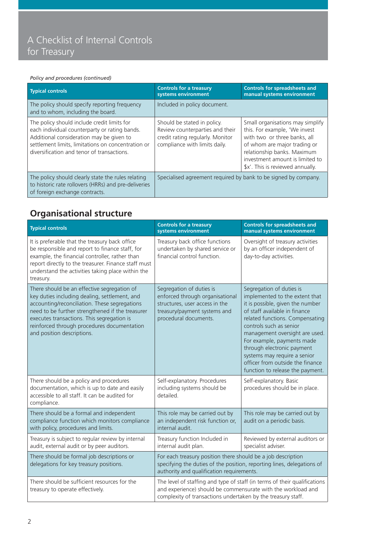#### *Policy and procedures (continued)*

| <b>Typical controls</b>                                                                                                                                                                                                                      | <b>Controls for a treasury</b><br>systems environment                                                                               | <b>Controls for spreadsheets and</b><br>manual systems environment                                                                                                                                                                      |
|----------------------------------------------------------------------------------------------------------------------------------------------------------------------------------------------------------------------------------------------|-------------------------------------------------------------------------------------------------------------------------------------|-----------------------------------------------------------------------------------------------------------------------------------------------------------------------------------------------------------------------------------------|
| The policy should specify reporting frequency<br>and to whom, including the board.                                                                                                                                                           | Included in policy document.                                                                                                        |                                                                                                                                                                                                                                         |
| The policy should include credit limits for<br>each individual counterparty or rating bands.<br>Additional consideration may be given to<br>settlement limits, limitations on concentration or<br>diversification and tenor of transactions. | Should be stated in policy.<br>Review counterparties and their<br>credit rating regularly. Monitor<br>compliance with limits daily. | Small organisations may simplify<br>this. For example, 'We invest<br>with two or three banks, all<br>of whom are major trading or<br>relationship banks. Maximum<br>investment amount is limited to<br>\$x'. This is reviewed annually. |
| The policy should clearly state the rules relating<br>to historic rate rollovers (HRRs) and pre-deliveries<br>of foreign exchange contracts.                                                                                                 | Specialised agreement required by bank to be signed by company.                                                                     |                                                                                                                                                                                                                                         |

### **Organisational structure**

| <b>Typical controls</b>                                                                                                                                                                                                                                                                                                      | <b>Controls for a treasury</b><br>systems environment                                                                                                                                                     | <b>Controls for spreadsheets and</b><br>manual systems environment                                                                                                                                                                                                                                                                                                                                  |
|------------------------------------------------------------------------------------------------------------------------------------------------------------------------------------------------------------------------------------------------------------------------------------------------------------------------------|-----------------------------------------------------------------------------------------------------------------------------------------------------------------------------------------------------------|-----------------------------------------------------------------------------------------------------------------------------------------------------------------------------------------------------------------------------------------------------------------------------------------------------------------------------------------------------------------------------------------------------|
| It is preferable that the treasury back office<br>be responsible and report to finance staff, for<br>example, the financial controller, rather than<br>report directly to the treasurer. Finance staff must<br>understand the activities taking place within the<br>treasury.                                                | Treasury back office functions<br>undertaken by shared service or<br>financial control function.                                                                                                          | Oversight of treasury activities<br>by an officer independent of<br>day-to-day activities.                                                                                                                                                                                                                                                                                                          |
| There should be an effective segregation of<br>key duties including dealing, settlement, and<br>accounting/reconciliation. These segregations<br>need to be further strengthened if the treasurer<br>executes transactions. This segregation is<br>reinforced through procedures documentation<br>and position descriptions. | Segregation of duties is<br>enforced through organisational<br>structures, user access in the<br>treasury/payment systems and<br>procedural documents.                                                    | Segregation of duties is<br>implemented to the extent that<br>it is possible, given the number<br>of staff available in finance<br>related functions. Compensating<br>controls such as senior<br>management oversight are used.<br>For example, payments made<br>through electronic payment<br>systems may require a senior<br>officer from outside the finance<br>function to release the payment. |
| There should be a policy and procedures<br>documentation, which is up to date and easily<br>accessible to all staff. It can be audited for<br>compliance.                                                                                                                                                                    | Self-explanatory. Procedures<br>including systems should be<br>detailed.                                                                                                                                  | Self-explanatory. Basic<br>procedures should be in place.                                                                                                                                                                                                                                                                                                                                           |
| There should be a formal and independent<br>compliance function which monitors compliance<br>with policy, procedures and limits.                                                                                                                                                                                             | This role may be carried out by<br>an independent risk function or,<br>internal audit.                                                                                                                    | This role may be carried out by<br>audit on a periodic basis.                                                                                                                                                                                                                                                                                                                                       |
| Treasury is subject to regular review by internal<br>audit, external audit or by peer auditors.                                                                                                                                                                                                                              | Treasury function Included in<br>internal audit plan.                                                                                                                                                     | Reviewed by external auditors or<br>specialist adviser.                                                                                                                                                                                                                                                                                                                                             |
| There should be formal job descriptions or<br>delegations for key treasury positions.                                                                                                                                                                                                                                        | For each treasury position there should be a job description<br>specifying the duties of the position, reporting lines, delegations of<br>authority and qualification requirements.                       |                                                                                                                                                                                                                                                                                                                                                                                                     |
| There should be sufficient resources for the<br>treasury to operate effectively.                                                                                                                                                                                                                                             | The level of staffing and type of staff (in terms of their qualifications<br>and experience) should be commensurate with the workload and<br>complexity of transactions undertaken by the treasury staff. |                                                                                                                                                                                                                                                                                                                                                                                                     |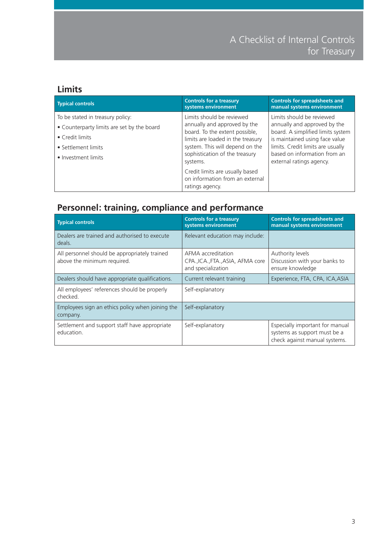#### **Limits**

| <b>Typical controls</b>                                                                                                                         | <b>Controls for a treasury</b><br>systems environment                                                                                                                                                             | <b>Controls for spreadsheets and</b><br>manual systems environment                                                                                                                                                                |
|-------------------------------------------------------------------------------------------------------------------------------------------------|-------------------------------------------------------------------------------------------------------------------------------------------------------------------------------------------------------------------|-----------------------------------------------------------------------------------------------------------------------------------------------------------------------------------------------------------------------------------|
| To be stated in treasury policy:<br>• Counterparty limits are set by the board<br>• Credit limits<br>• Settlement limits<br>• Investment limits | Limits should be reviewed<br>annually and approved by the<br>board. To the extent possible,<br>limits are loaded in the treasury<br>system. This will depend on the<br>sophistication of the treasury<br>systems. | Limits should be reviewed<br>annually and approved by the<br>board. A simplified limits system<br>is maintained using face value<br>limits. Credit limits are usually<br>based on information from an<br>external ratings agency. |
|                                                                                                                                                 | Credit limits are usually based<br>on information from an external<br>ratings agency.                                                                                                                             |                                                                                                                                                                                                                                   |

#### **Personnel: training, compliance and performance**

| <b>Typical controls</b>                                                      | <b>Controls for a treasury</b><br>systems environment                         | <b>Controls for spreadsheets and</b><br>manual systems environment                               |
|------------------------------------------------------------------------------|-------------------------------------------------------------------------------|--------------------------------------------------------------------------------------------------|
| Dealers are trained and authorised to execute<br>deals.                      | Relevant education may include:                                               |                                                                                                  |
| All personnel should be appropriately trained<br>above the minimum required. | AFMA accreditation<br>CPA., ICA., FTA., ASIA, AFMA core<br>and specialization | Authority levels<br>Discussion with your banks to<br>ensure knowledge                            |
| Dealers should have appropriate qualifications.                              | Current relevant training                                                     | Experience, FTA, CPA, ICA, ASIA                                                                  |
| All employees' references should be properly<br>checked.                     | Self-explanatory                                                              |                                                                                                  |
| Employees sign an ethics policy when joining the<br>company.                 | Self-explanatory                                                              |                                                                                                  |
| Settlement and support staff have appropriate<br>education.                  | Self-explanatory                                                              | Especially important for manual<br>systems as support must be a<br>check against manual systems. |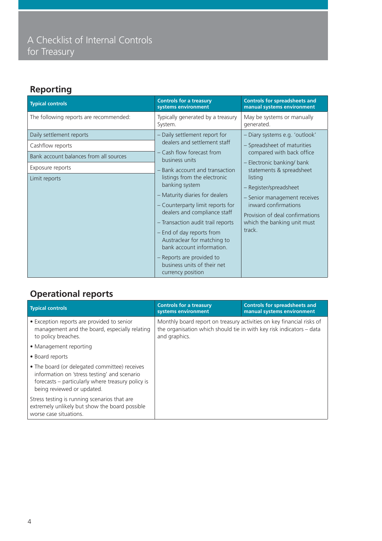### **Reporting**

| <b>Typical controls</b>                                                                                                     | <b>Controls for a treasury</b><br>systems environment                                                                                                                                                                                                                                                                                                                                                                                                                                            | <b>Controls for spreadsheets and</b><br>manual systems environment                                                                                                                                                                                                                                                            |
|-----------------------------------------------------------------------------------------------------------------------------|--------------------------------------------------------------------------------------------------------------------------------------------------------------------------------------------------------------------------------------------------------------------------------------------------------------------------------------------------------------------------------------------------------------------------------------------------------------------------------------------------|-------------------------------------------------------------------------------------------------------------------------------------------------------------------------------------------------------------------------------------------------------------------------------------------------------------------------------|
| The following reports are recommended:                                                                                      | Typically generated by a treasury<br>System.                                                                                                                                                                                                                                                                                                                                                                                                                                                     | May be systems or manually<br>generated.                                                                                                                                                                                                                                                                                      |
| Daily settlement reports<br>Cashflow reports<br>Bank account balances from all sources<br>Exposure reports<br>Limit reports | - Daily settlement report for<br>dealers and settlement staff<br>- Cash flow forecast from<br>business units<br>- Bank account and transaction<br>listings from the electronic<br>banking system<br>- Maturity diaries for dealers<br>- Counterparty limit reports for<br>dealers and compliance staff<br>- Transaction audit trail reports<br>- End of day reports from<br>Austraclear for matching to<br>bank account information.<br>- Reports are provided to<br>business units of their net | - Diary systems e.g. 'outlook'<br>- Spreadsheet of maturities<br>compared with back office<br>- Electronic banking/ bank<br>statements & spreadsheet<br>listing<br>- Register/spreadsheet<br>- Senior management receives<br>inward confirmations<br>Provision of deal confirmations<br>which the banking unit must<br>track. |
|                                                                                                                             | currency position                                                                                                                                                                                                                                                                                                                                                                                                                                                                                |                                                                                                                                                                                                                                                                                                                               |

### **Operational reports**

| <b>Typical controls</b>                                                                                                                                                          | <b>Controls for a treasury</b><br>systems environment                                                                                                          | <b>Controls for spreadsheets and</b><br>manual systems environment |
|----------------------------------------------------------------------------------------------------------------------------------------------------------------------------------|----------------------------------------------------------------------------------------------------------------------------------------------------------------|--------------------------------------------------------------------|
| • Exception reports are provided to senior<br>management and the board, especially relating<br>to policy breaches.                                                               | Monthly board report on treasury activities on key financial risks of<br>the organisation which should tie in with key risk indicators - data<br>and graphics. |                                                                    |
| • Management reporting                                                                                                                                                           |                                                                                                                                                                |                                                                    |
| • Board reports                                                                                                                                                                  |                                                                                                                                                                |                                                                    |
| • The board (or delegated committee) receives<br>information on 'stress testing' and scenario<br>forecasts – particularly where treasury policy is<br>being reviewed or updated. |                                                                                                                                                                |                                                                    |
| Stress testing is running scenarios that are<br>extremely unlikely but show the board possible<br>worse case situations.                                                         |                                                                                                                                                                |                                                                    |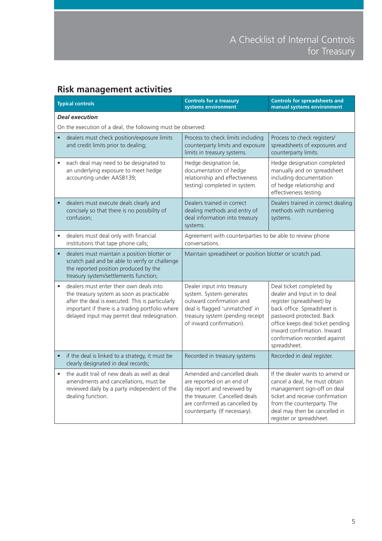### **Risk management activities**

|           | <b>Typical controls</b>                                                                                                                                                                                                                      | <b>Controls for a treasury</b><br>systems environment                                                                                                                                      | <b>Controls for spreadsheets and</b><br>manual systems environment                                                                                                                                                                                                  |
|-----------|----------------------------------------------------------------------------------------------------------------------------------------------------------------------------------------------------------------------------------------------|--------------------------------------------------------------------------------------------------------------------------------------------------------------------------------------------|---------------------------------------------------------------------------------------------------------------------------------------------------------------------------------------------------------------------------------------------------------------------|
|           | <b>Deal execution</b>                                                                                                                                                                                                                        |                                                                                                                                                                                            |                                                                                                                                                                                                                                                                     |
|           | On the execution of a deal, the following must be observed:                                                                                                                                                                                  |                                                                                                                                                                                            |                                                                                                                                                                                                                                                                     |
|           | dealers must check position/exposure limits<br>and credit limits prior to dealing;                                                                                                                                                           | Process to check limits including<br>counterparty limits and exposure<br>limits in treasury systems.                                                                                       | Process to check registers/<br>spreadsheets of exposures and<br>counterparty limits.                                                                                                                                                                                |
|           | each deal may need to be designated to<br>an underlying exposure to meet hedge<br>accounting under AASB139;                                                                                                                                  | Hedge designation (ie,<br>documentation of hedge<br>relationship and effectiveness<br>testing) completed in system.                                                                        | Hedge designation completed<br>manually and on spreadsheet<br>including documentation<br>of hedge relationship and<br>effectiveness testing.                                                                                                                        |
| $\bullet$ | dealers must execute deals clearly and<br>concisely so that there is no possibility of<br>confusion;                                                                                                                                         | Dealers trained in correct<br>dealing methods and entry of<br>deal information into treasury<br>systems.                                                                                   | Dealers trained in correct dealing<br>methods with numbering<br>systems.                                                                                                                                                                                            |
|           | dealers must deal only with financial<br>institutions that tape phone calls;                                                                                                                                                                 | Agreement with counterparties to be able to review phone<br>conversations.                                                                                                                 |                                                                                                                                                                                                                                                                     |
| $\bullet$ | dealers must maintain a position blotter or<br>scratch pad and be able to verify or challenge<br>the reported position produced by the<br>treasury system/settlements function;                                                              | Maintain spreadsheet or position blotter or scratch pad.                                                                                                                                   |                                                                                                                                                                                                                                                                     |
| $\bullet$ | dealers must enter their own deals into<br>the treasury system as soon as practicable<br>after the deal is executed. This is particularly<br>important if there is a trading portfolio where<br>delayed input may permit deal redesignation. | Dealer input into treasury<br>system. System generates<br>outward confirmation and<br>deal is flagged 'unmatched' in<br>treasury system (pending receipt<br>of inward confirmation).       | Deal ticket completed by<br>dealer and Input in to deal<br>register (spreadsheet) by<br>back office. Spreadsheet is<br>password protected. Back<br>office keeps deal ticket pending<br>inward confirmation. Inward<br>confirmation recorded against<br>spreadsheet. |
|           | if the deal is linked to a strategy, it must be<br>clearly designated in deal records;                                                                                                                                                       | Recorded in treasury systems                                                                                                                                                               | Recorded in deal register.                                                                                                                                                                                                                                          |
| $\bullet$ | the audit trail of new deals as well as deal<br>amendments and cancellations, must be<br>reviewed daily by a party independent of the<br>dealing function.                                                                                   | Amended and cancelled deals<br>are reported on an end of<br>day report and reveiwed by<br>the treasurer. Cancelled deals<br>are confirmed as cancelled by<br>counterparty. (If necessary). | If the dealer wants to amend or<br>cancel a deal, he must obtain<br>management sign-off on deal<br>ticket and receive confirmation<br>from the counterparty. The<br>deal may then be cancelled in<br>register or spreadsheet.                                       |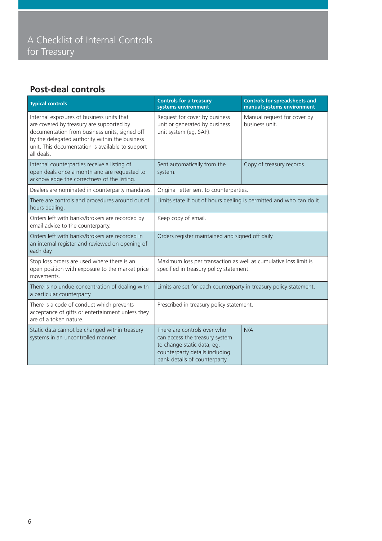#### **Post-deal controls**

| <b>Typical controls</b>                                                                                                                                                                                                                                    | <b>Controls for a treasury</b><br>systems environment                                                                                                          | <b>Controls for spreadsheets and</b><br>manual systems environment |
|------------------------------------------------------------------------------------------------------------------------------------------------------------------------------------------------------------------------------------------------------------|----------------------------------------------------------------------------------------------------------------------------------------------------------------|--------------------------------------------------------------------|
| Internal exposures of business units that<br>are covered by treasury are supported by<br>documentation from business units, signed off<br>by the delegated authority within the business<br>unit. This documentation is available to support<br>all deals. | Request for cover by business<br>unit or generated by business<br>unit system (eg, SAP).                                                                       | Manual request for cover by<br>business unit.                      |
| Internal counterparties receive a listing of<br>open deals once a month and are requested to<br>acknowledge the correctness of the listing.                                                                                                                | Sent automatically from the<br>system.                                                                                                                         | Copy of treasury records                                           |
| Dealers are nominated in counterparty mandates.                                                                                                                                                                                                            | Original letter sent to counterparties.                                                                                                                        |                                                                    |
| There are controls and procedures around out of<br>hours dealing.                                                                                                                                                                                          | Limits state if out of hours dealing is permitted and who can do it.                                                                                           |                                                                    |
| Orders left with banks/brokers are recorded by<br>email advice to the counterparty.                                                                                                                                                                        | Keep copy of email.                                                                                                                                            |                                                                    |
| Orders left with banks/brokers are recorded in<br>an internal register and reviewed on opening of<br>each day.                                                                                                                                             | Orders register maintained and signed off daily.                                                                                                               |                                                                    |
| Stop loss orders are used where there is an<br>open position with exposure to the market price<br>movements.                                                                                                                                               | Maximum loss per transaction as well as cumulative loss limit is<br>specified in treasury policy statement.                                                    |                                                                    |
| There is no undue concentration of dealing with<br>a particular counterparty.                                                                                                                                                                              | Limits are set for each counterparty in treasury policy statement.                                                                                             |                                                                    |
| There is a code of conduct which prevents<br>acceptance of gifts or entertainment unless they<br>are of a token nature.                                                                                                                                    | Prescribed in treasury policy statement.                                                                                                                       |                                                                    |
| Static data cannot be changed within treasury<br>systems in an uncontrolled manner.                                                                                                                                                                        | There are controls over who<br>can access the treasury system<br>to change static data, eg,<br>counterparty details including<br>bank details of counterparty. | N/A                                                                |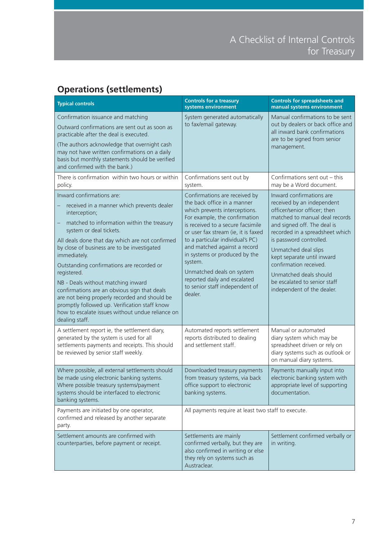### **Operations (settlements)**

| <b>Typical controls</b>                                                                                                                                                                                                                                                                                                                                                                                                                                                                                                                                                                                       | <b>Controls for a treasury</b><br>systems environment                                                                                                                                                                                                                                                                                                                                                                                | <b>Controls for spreadsheets and</b><br>manual systems environment                                                                                                                                                                                                                                                                                                                            |
|---------------------------------------------------------------------------------------------------------------------------------------------------------------------------------------------------------------------------------------------------------------------------------------------------------------------------------------------------------------------------------------------------------------------------------------------------------------------------------------------------------------------------------------------------------------------------------------------------------------|--------------------------------------------------------------------------------------------------------------------------------------------------------------------------------------------------------------------------------------------------------------------------------------------------------------------------------------------------------------------------------------------------------------------------------------|-----------------------------------------------------------------------------------------------------------------------------------------------------------------------------------------------------------------------------------------------------------------------------------------------------------------------------------------------------------------------------------------------|
| Confirmation issuance and matching<br>Outward confirmations are sent out as soon as<br>practicable after the deal is executed.<br>(The authors acknowledge that overnight cash<br>may not have written confirmations on a daily<br>basis but monthly statements should be verified<br>and confirmed with the bank.)                                                                                                                                                                                                                                                                                           | System generated automatically<br>to fax/email gateway.                                                                                                                                                                                                                                                                                                                                                                              | Manual confirmations to be sent<br>out by dealers or back office and<br>all inward bank confirmations<br>are to be signed from senior<br>management.                                                                                                                                                                                                                                          |
| There is confirmation within two hours or within<br>policy.                                                                                                                                                                                                                                                                                                                                                                                                                                                                                                                                                   | Confirmations sent out by<br>system.                                                                                                                                                                                                                                                                                                                                                                                                 | Confirmations sent out - this<br>may be a Word document.                                                                                                                                                                                                                                                                                                                                      |
| Inward confirmations are:<br>received in a manner which prevents dealer<br>interception;<br>matched to information within the treasury<br>system or deal tickets.<br>All deals done that day which are not confirmed<br>by close of business are to be investigated<br>immediately.<br>Outstanding confirmations are recorded or<br>registered.<br>NB - Deals without matching inward<br>confirmations are an obvious sign that deals<br>are not being properly recorded and should be<br>promptly followed up. Verification staff know<br>how to escalate issues without undue reliance on<br>dealing staff. | Confirmations are received by<br>the back office in a manner<br>which prevents interceptions.<br>For example, the confirmation<br>is received to a secure facsimile<br>or user fax stream (ie, it is faxed<br>to a particular individual's PC)<br>and matched against a record<br>in systems or produced by the<br>system.<br>Unmatched deals on system<br>reported daily and escalated<br>to senior staff independent of<br>dealer. | Inward confirmations are<br>received by an independent<br>officer/senior officer; then<br>matched to manual deal records<br>and signed off. The deal is<br>recorded in a spreadsheet which<br>is password controlled.<br>Unmatched deal slips<br>kept separate until inward<br>confirmation received.<br>Unmatched deals should<br>be escalated to senior staff<br>independent of the dealer. |
| A settlement report ie, the settlement diary,<br>generated by the system is used for all<br>settlements payments and receipts. This should<br>be reviewed by senior staff weekly.                                                                                                                                                                                                                                                                                                                                                                                                                             | Automated reports settlement<br>reports distributed to dealing<br>and settlement staff.                                                                                                                                                                                                                                                                                                                                              | Manual or automated<br>diary system which may be<br>spreadsheet driven or rely on<br>diary systems such as outlook or<br>on manual diary systems.                                                                                                                                                                                                                                             |
| Where possible, all external settlements should<br>be made using electronic banking systems.<br>Where possible treasury systems/payment<br>systems should be interfaced to electronic<br>banking systems.                                                                                                                                                                                                                                                                                                                                                                                                     | Downloaded treasury payments<br>from treasury systems, via back<br>office support to electronic<br>banking systems.                                                                                                                                                                                                                                                                                                                  | Payments manually input into<br>electronic banking system with<br>appropriate level of supporting<br>documentation.                                                                                                                                                                                                                                                                           |
| Payments are initiated by one operator,<br>confirmed and released by another separate<br>party.                                                                                                                                                                                                                                                                                                                                                                                                                                                                                                               | All payments require at least two staff to execute.                                                                                                                                                                                                                                                                                                                                                                                  |                                                                                                                                                                                                                                                                                                                                                                                               |
| Settlement amounts are confirmed with<br>counterparties, before payment or receipt.                                                                                                                                                                                                                                                                                                                                                                                                                                                                                                                           | Settlements are mainly<br>confirmed verbally, but they are<br>also confirmed in writing or else<br>they rely on systems such as<br>Austraclear.                                                                                                                                                                                                                                                                                      | Settlement confirmed verbally or<br>in writing.                                                                                                                                                                                                                                                                                                                                               |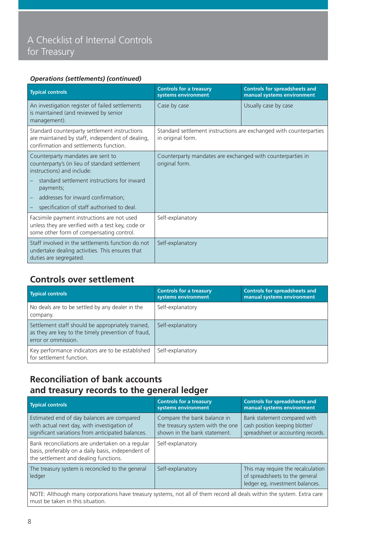#### *Operations (settlements) (continued)*

| <b>Typical controls</b>                                                                                                                                                                                                                                           | <b>Controls for a treasury</b><br>systems environment                                   | <b>Controls for spreadsheets and</b><br>manual systems environment |
|-------------------------------------------------------------------------------------------------------------------------------------------------------------------------------------------------------------------------------------------------------------------|-----------------------------------------------------------------------------------------|--------------------------------------------------------------------|
| An investigation register of failed settlements<br>is maintained (and reviewed by senior<br>management).                                                                                                                                                          | Case by case                                                                            | Usually case by case                                               |
| Standard counterparty settlement instructions<br>are maintained by staff, independent of dealing,<br>confirmation and settlements function.                                                                                                                       | Standard settlement instructions are exchanged with counterparties<br>in original form. |                                                                    |
| Counterparty mandates are sent to<br>counterparty's (in lieu of standard settlement<br>instructions) and include:<br>standard settlement instructions for inward<br>payments;<br>addresses for inward confirmation;<br>specification of staff authorised to deal. | Counterparty mandates are exchanged with counterparties in<br>original form.            |                                                                    |
| Facsimile payment instructions are not used<br>unless they are verified with a test key, code or<br>some other form of compensating control.                                                                                                                      | Self-explanatory                                                                        |                                                                    |
| Staff involved in the settlements function do not<br>undertake dealing activities. This ensures that<br>duties are segregated.                                                                                                                                    | Self-explanatory                                                                        |                                                                    |

#### **Controls over settlement**

| <b>Typical controls</b>                                                                                                        | <b>Controls for a treasury</b><br>systems environment | <b>Controls for spreadsheets and</b><br>manual systems environment |
|--------------------------------------------------------------------------------------------------------------------------------|-------------------------------------------------------|--------------------------------------------------------------------|
| No deals are to be settled by any dealer in the<br>company.                                                                    | Self-explanatory                                      |                                                                    |
| Settlement staff should be appropriately trained,<br>as they are key to the timely prevention of fraud,<br>error or ommission. | Self-explanatory                                      |                                                                    |
| Key performance indicators are to be established<br>for settlement function.                                                   | Self-explanatory                                      |                                                                    |

#### **Reconciliation of bank accounts and treasury records to the general ledger**

| <b>Typical controls</b>                                                                                                                         | <b>Controls for a treasury</b><br>systems environment                                           | <b>Controls for spreadsheets and</b><br>manual systems environment                                      |
|-------------------------------------------------------------------------------------------------------------------------------------------------|-------------------------------------------------------------------------------------------------|---------------------------------------------------------------------------------------------------------|
| Estimated end of day balances are compared<br>with actual next day, with investigation of<br>significant variations from anticipated balances.  | Compare the bank balance in<br>the treasury system with the one<br>shown in the bank statement. | Bank statement compared with<br>cash position keeping blotter/<br>spreadsheet or accounting records.    |
| Bank reconciliations are undertaken on a regular<br>basis, preferably on a daily basis, independent of<br>the settlement and dealing functions. | Self-explanatory                                                                                |                                                                                                         |
| The treasury system is reconciled to the general<br>ledger                                                                                      | Self-explanatory                                                                                | This may require the recalculation<br>of spreadsheets to the general<br>ledger eg, investment balances. |

NOTE: Although many corporations have treasury systems, not all of them record all deals within the system. Extra care must be taken in this situation.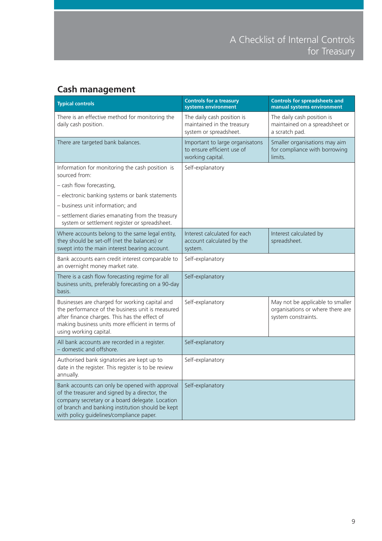#### **Cash management**

| <b>Typical controls</b>                                                                                                                                                                                                                             | <b>Controls for a treasury</b><br>systems environment                              | <b>Controls for spreadsheets and</b><br>manual systems environment                          |
|-----------------------------------------------------------------------------------------------------------------------------------------------------------------------------------------------------------------------------------------------------|------------------------------------------------------------------------------------|---------------------------------------------------------------------------------------------|
| There is an effective method for monitoring the<br>daily cash position.                                                                                                                                                                             | The daily cash position is<br>maintained in the treasury<br>system or spreadsheet. | The daily cash position is<br>maintained on a spreadsheet or<br>a scratch pad.              |
| There are targeted bank balances.                                                                                                                                                                                                                   | Important to large organisatons<br>to ensure efficient use of<br>working capital.  | Smaller organisations may aim<br>for compliance with borrowing<br>limits.                   |
| Information for monitoring the cash position is<br>sourced from:                                                                                                                                                                                    | Self-explanatory                                                                   |                                                                                             |
| - cash flow forecasting,                                                                                                                                                                                                                            |                                                                                    |                                                                                             |
| - electronic banking systems or bank statements                                                                                                                                                                                                     |                                                                                    |                                                                                             |
| - business unit information; and                                                                                                                                                                                                                    |                                                                                    |                                                                                             |
| - settlement diaries emanating from the treasury<br>system or settlement register or spreadsheet.                                                                                                                                                   |                                                                                    |                                                                                             |
| Where accounts belong to the same legal entity,<br>they should be set-off (net the balances) or<br>swept into the main interest bearing account.                                                                                                    | Interest calculated for each<br>account calculated by the<br>system.               | Interest calculated by<br>spreadsheet.                                                      |
| Bank accounts earn credit interest comparable to<br>an overnight money market rate.                                                                                                                                                                 | Self-explanatory                                                                   |                                                                                             |
| There is a cash flow forecasting regime for all<br>business units, preferably forecasting on a 90-day<br>basis.                                                                                                                                     | Self-explanatory                                                                   |                                                                                             |
| Businesses are charged for working capital and<br>the performance of the business unit is measured<br>after finance charges. This has the effect of<br>making business units more efficient in terms of<br>using working capital.                   | Self-explanatory                                                                   | May not be applicable to smaller<br>organisations or where there are<br>system constraints. |
| All bank accounts are recorded in a register.<br>- domestic and offshore.                                                                                                                                                                           | Self-explanatory                                                                   |                                                                                             |
| Authorised bank signatories are kept up to<br>date in the register. This register is to be review<br>annually.                                                                                                                                      | Self-explanatory                                                                   |                                                                                             |
| Bank accounts can only be opened with approval<br>of the treasurer and signed by a director, the<br>company secretary or a board delegate. Location<br>of branch and banking institution should be kept<br>with policy guidelines/compliance paper. | Self-explanatory                                                                   |                                                                                             |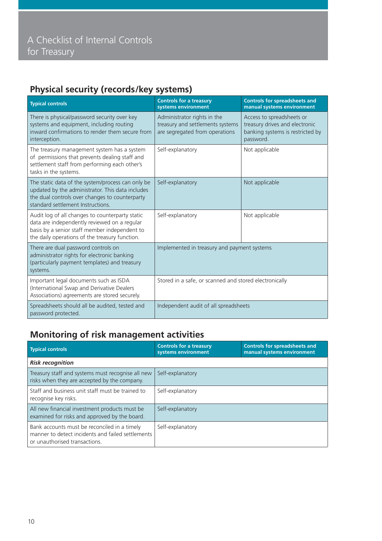### **Physical security (records/key systems)**

| <b>Typical controls</b>                                                                                                                                                                            | <b>Controls for a treasury</b><br>systems environment                                             | <b>Controls for spreadsheets and</b><br>manual systems environment                                           |
|----------------------------------------------------------------------------------------------------------------------------------------------------------------------------------------------------|---------------------------------------------------------------------------------------------------|--------------------------------------------------------------------------------------------------------------|
| There is physical/password security over key<br>systems and equipment, including routing<br>inward confirmations to render them secure from<br>interception.                                       | Administrator rights in the<br>treasury and settlements systems<br>are segregated from operations | Access to spreadsheets or<br>treasury drives and electronic<br>banking systems is restricted by<br>password. |
| The treasury management system has a system<br>of permissions that prevents dealing staff and<br>settlement staff from performing each other's<br>tasks in the systems.                            | Self-explanatory                                                                                  | Not applicable                                                                                               |
| The static data of the system/process can only be<br>updated by the administrator. This data includes<br>the dual controls over changes to counterparty<br>standard settlement Instructions.       | Self-explanatory                                                                                  | Not applicable                                                                                               |
| Audit log of all changes to counterparty static<br>data are independently reviewed on a regular<br>basis by a senior staff member independent to<br>the daily operations of the treasury function. | Self-explanatory                                                                                  | Not applicable                                                                                               |
| There are dual password controls on<br>administrator rights for electronic banking<br>(particularly payment templates) and treasury<br>systems.                                                    | Implemented in treasury and payment systems                                                       |                                                                                                              |
| Important legal documents such as ISDA<br>(International Swap and Derivative Dealers<br>Associations) agreements are stored securely.                                                              | Stored in a safe, or scanned and stored electronically                                            |                                                                                                              |
| Spreadsheets should all be audited, tested and<br>password protected.                                                                                                                              | Independent audit of all spreadsheets                                                             |                                                                                                              |

#### **Monitoring of risk management activities**

| <b>Typical controls</b>                                                                                                            | <b>Controls for a treasury</b><br>systems environment | <b>Controls for spreadsheets and</b><br>manual systems environment |
|------------------------------------------------------------------------------------------------------------------------------------|-------------------------------------------------------|--------------------------------------------------------------------|
| <b>Risk recognition</b>                                                                                                            |                                                       |                                                                    |
| Treasury staff and systems must recognise all new<br>risks when they are accepted by the company.                                  | Self-explanatory                                      |                                                                    |
| Staff and business unit staff must be trained to<br>recognise key risks.                                                           | Self-explanatory                                      |                                                                    |
| All new financial investment products must be<br>examined for risks and approved by the board.                                     | Self-explanatory                                      |                                                                    |
| Bank accounts must be reconciled in a timely<br>manner to detect incidents and failed settlements<br>or unauthorised transactions. | Self-explanatory                                      |                                                                    |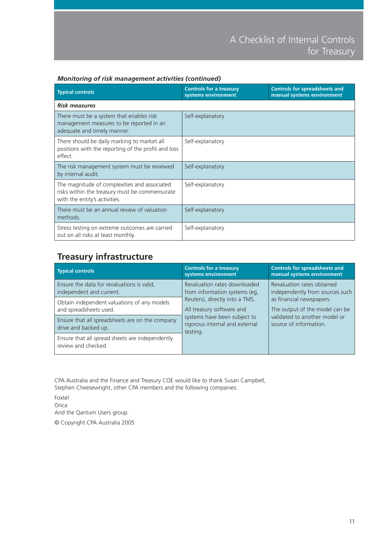| <b>Typical controls</b>                                                                                                         | <b>Controls for a treasury</b><br>systems environment | <b>Controls for spreadsheets and</b><br>manual systems environment |
|---------------------------------------------------------------------------------------------------------------------------------|-------------------------------------------------------|--------------------------------------------------------------------|
| <b>Risk measures</b>                                                                                                            |                                                       |                                                                    |
| There must be a system that enables risk<br>management measures to be reported in an<br>adequate and timely manner.             | Self-explanatory                                      |                                                                    |
| There should be daily marking to market all<br>positions with the reporting of the profit and loss<br>effect.                   | Self-explanatory                                      |                                                                    |
| The risk management system must be reviewed<br>by internal audit.                                                               | Self-explanatory                                      |                                                                    |
| The magnitude of complexities and associated<br>risks within the treasury must be commensurate<br>with the entity's activities. | Self-explanatory                                      |                                                                    |
| There must be an annual review of valuation<br>methods.                                                                         | Self-explanatory                                      |                                                                    |
| Stress testing on extreme outcomes are carried<br>out on all risks at least monthly.                                            | Self-explanatory                                      |                                                                    |

#### *Monitoring of risk management activities (continued)*

#### **Treasury infrastructure**

| <b>Typical controls</b>                                                 | <b>Controls for a treasury</b><br>systems environment                                                                                     | <b>Controls for spreadsheets and</b><br>manual systems environment |                               |
|-------------------------------------------------------------------------|-------------------------------------------------------------------------------------------------------------------------------------------|--------------------------------------------------------------------|-------------------------------|
| Ensure the data for revaluations is valid,<br>independent and current.  | Revaluation rates downloaded<br>from information systems (eq.                                                                             | Revaluation rates obtained<br>independently from sources such      |                               |
| Obtain independent valuations of any models<br>and spreadsheets used.   | Reuters), directly into a TMS.<br>All treasury software and<br>systems have been subject to<br>rigorous internal and external<br>testing. | as financial newspapers.<br>The output of the model can be         |                               |
| Ensure that all spreadsheets are on the company<br>drive and backed up. |                                                                                                                                           | source of information.                                             | validated to another model or |
| Ensure that all spread sheets are independently<br>review and checked.  |                                                                                                                                           |                                                                    |                               |

CPA Australia and the Finance and Treasury COE would like to thank Susan Campbell, Stephen Cheesewright, other CPA members and the following companies:

Foxtel Orica And the Qantum Users group. © Copyright CPA Australia 2005